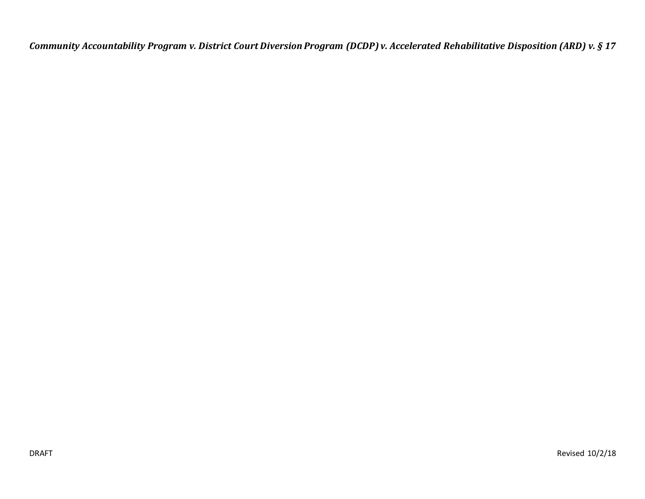*Community Accountability Program v. District Court Diversion Program (DCDP) v. Accelerated Rehabilitative Disposition (ARD) v. § 17*